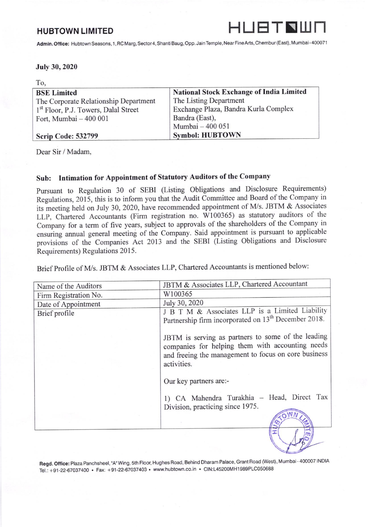

Admin. Office: Hubtown Seasons, 1, RC Marg, Sector 4, Shanti Baug, Opp. Jain Temple, Near Fine Arts, Chembur (East), Mumbai-400071

## July 30,2020

| To,                                              |                                                 |
|--------------------------------------------------|-------------------------------------------------|
| <b>BSE Limited</b>                               | <b>National Stock Exchange of India Limited</b> |
| The Corporate Relationship Department            | The Listing Department                          |
| 1 <sup>st</sup> Floor, P.J. Towers, Dalal Street | Exchange Plaza, Bandra Kurla Complex            |
| Fort, Mumbai - 400 001                           | Bandra (East),                                  |
|                                                  | Mumbai - 400 051                                |
| <b>Scrip Code: 532799</b>                        | <b>Symbol: HUBTOWN</b>                          |

Dear Sir / Madam,

## Sub: Intimation for Appointment of Statutory Auditors of the Company

Pursuant to Regulation 30 of SEBI (Listing Obligations and Disclosure Requirements) Regulations, 2015, this is to inform you that the Audit Committee and Board of the Company in its meeting held on July 30, 2020, have recommended appointment of M/s. JBTM  $&$  Associates LLP, Chartered Accountants (Firm registration no. W100365) as statutory auditors of the Company for a term of five years, subject to approvals of the shareholders of the Company in ensuring annual general meeting of the Company. Said appointment is pursuant to applicable provisions of the Companies Act 2013 and the SEBI (Listing Obligations and Disclosure Requirements) Regulations 2015.

Brief Profile of M/s. JBTM & Associates LLP, Chartered Accountants is mentioned below:

| Name of the Auditors                 | JBTM & Associates LLP, Chartered Accountant                                                                                                                                   |
|--------------------------------------|-------------------------------------------------------------------------------------------------------------------------------------------------------------------------------|
| Firm Registration No.                | W100365                                                                                                                                                                       |
|                                      | July 30, 2020                                                                                                                                                                 |
| Date of Appointment<br>Brief profile | J B T M & Associates LLP is a Limited Liability<br>Partnership firm incorporated on 13 <sup>th</sup> December 2018.                                                           |
|                                      | JBTM is serving as partners to some of the leading<br>companies for helping them with accounting needs<br>and freeing the management to focus on core business<br>activities. |
|                                      | Our key partners are:-                                                                                                                                                        |
|                                      | 1) CA Mahendra Turakhia - Head, Direct Tax<br>Division, practicing since 1975.                                                                                                |
|                                      |                                                                                                                                                                               |
|                                      |                                                                                                                                                                               |

Regd. Office: Plaza Panchsheel, "A" Wing, 5th Floor, Hughes Road, Behind Dharam Palace, Grant Road (West), Mumbai - 400007 INDIA Tel.: +91-22-67037400 . Fax: +91-22-67037403 . www.hubtown.co.in . CIN:L45200MH1989PLC050688